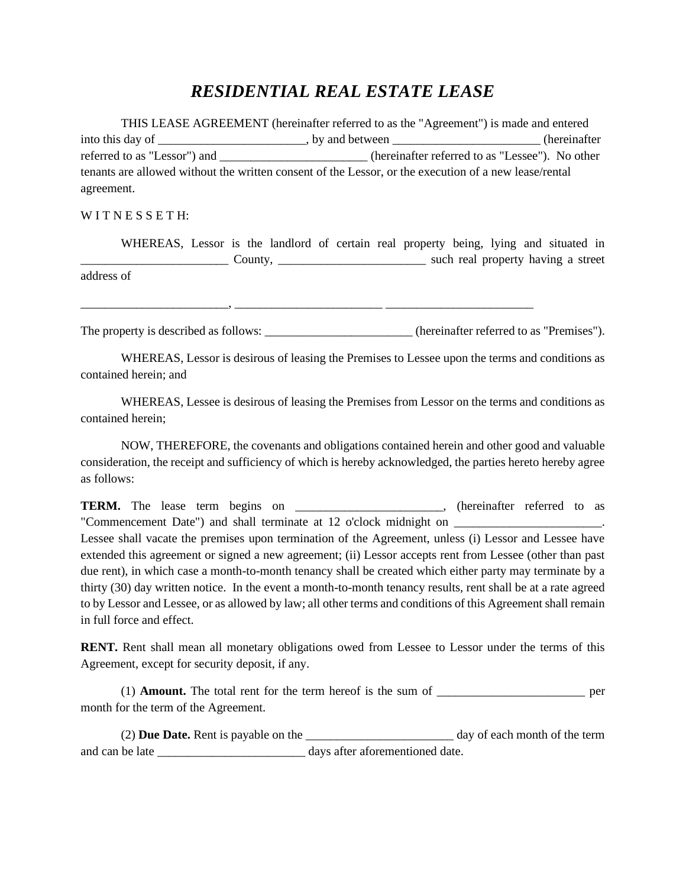## *RESIDENTIAL REAL ESTATE LEASE*

THIS LEASE AGREEMENT (hereinafter referred to as the "Agreement") is made and entered into this day of \_\_\_\_\_\_\_\_\_\_\_\_\_\_\_\_\_\_\_\_\_\_\_\_, by and between \_\_\_\_\_\_\_\_\_\_\_\_\_\_\_\_\_\_\_\_\_\_\_\_ (hereinafter referred to as "Lessor") and  $(herenafter referred to as "Lessee").$  No other tenants are allowed without the written consent of the Lessor, or the execution of a new lease/rental agreement.

## WITNESSETH:

WHEREAS, Lessor is the landlord of certain real property being, lying and situated in \_\_\_\_\_\_\_\_\_\_\_\_\_\_\_\_\_\_\_\_\_\_\_\_ County, \_\_\_\_\_\_\_\_\_\_\_\_\_\_\_\_\_\_\_\_\_\_\_\_ such real property having a street address of

The property is described as follows: \_\_\_\_\_\_\_\_\_\_\_\_\_\_\_\_\_\_\_\_\_\_\_\_\_(hereinafter referred to as "Premises").

\_\_\_\_\_\_\_\_\_\_\_\_\_\_\_\_\_\_\_\_\_\_\_\_, \_\_\_\_\_\_\_\_\_\_\_\_\_\_\_\_\_\_\_\_\_\_\_\_ \_\_\_\_\_\_\_\_\_\_\_\_\_\_\_\_\_\_\_\_\_\_\_\_

WHEREAS, Lessor is desirous of leasing the Premises to Lessee upon the terms and conditions as contained herein; and

WHEREAS, Lessee is desirous of leasing the Premises from Lessor on the terms and conditions as contained herein;

NOW, THEREFORE, the covenants and obligations contained herein and other good and valuable consideration, the receipt and sufficiency of which is hereby acknowledged, the parties hereto hereby agree as follows:

**TERM.** The lease term begins on  $\blacksquare$ , (hereinafter referred to as "Commencement Date") and shall terminate at 12 o'clock midnight on \_\_\_\_\_\_\_\_\_\_\_\_\_\_\_\_\_\_\_\_\_\_\_\_. Lessee shall vacate the premises upon termination of the Agreement, unless (i) Lessor and Lessee have extended this agreement or signed a new agreement; (ii) Lessor accepts rent from Lessee (other than past due rent), in which case a month-to-month tenancy shall be created which either party may terminate by a thirty (30) day written notice. In the event a month-to-month tenancy results, rent shall be at a rate agreed to by Lessor and Lessee, or as allowed by law; all other terms and conditions of this Agreement shall remain in full force and effect.

**RENT.** Rent shall mean all monetary obligations owed from Lessee to Lessor under the terms of this Agreement, except for security deposit, if any.

(1) **Amount.** The total rent for the term hereof is the sum of per month for the term of the Agreement.

(2) **Due Date.** Rent is payable on the day of each month of the term and can be late \_\_\_\_\_\_\_\_\_\_\_\_\_\_\_\_\_\_\_\_\_\_\_\_ days after aforementioned date.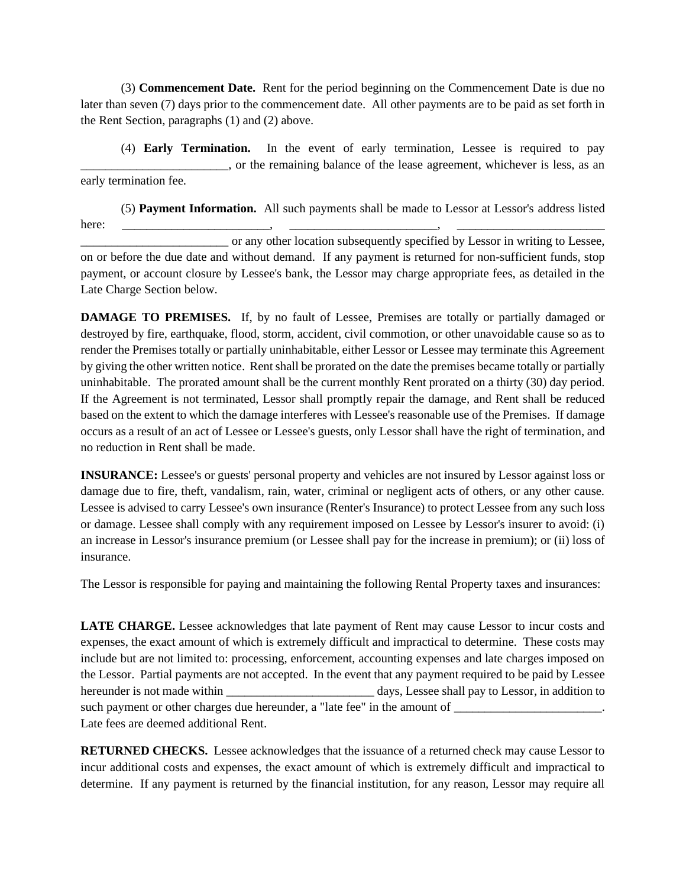(3) **Commencement Date.** Rent for the period beginning on the Commencement Date is due no later than seven (7) days prior to the commencement date. All other payments are to be paid as set forth in the Rent Section, paragraphs (1) and (2) above.

(4) **Early Termination.** In the event of early termination, Lessee is required to pay \_\_\_\_\_\_\_\_\_\_\_\_\_\_\_\_\_\_\_\_\_\_\_\_, or the remaining balance of the lease agreement, whichever is less, as an early termination fee.

(5) **Payment Information.** All such payments shall be made to Lessor at Lessor's address listed here: \_\_\_\_\_\_\_\_\_\_\_\_\_\_\_\_\_\_\_\_\_\_\_\_, \_\_\_\_\_\_\_\_\_\_\_\_\_\_\_\_\_\_\_\_\_\_\_\_, \_\_\_\_\_\_\_\_\_\_\_\_\_\_\_\_\_\_\_\_\_\_\_\_

or any other location subsequently specified by Lessor in writing to Lessee, on or before the due date and without demand. If any payment is returned for non-sufficient funds, stop payment, or account closure by Lessee's bank, the Lessor may charge appropriate fees, as detailed in the Late Charge Section below.

**DAMAGE TO PREMISES.** If, by no fault of Lessee, Premises are totally or partially damaged or destroyed by fire, earthquake, flood, storm, accident, civil commotion, or other unavoidable cause so as to render the Premises totally or partially uninhabitable, either Lessor or Lessee may terminate this Agreement by giving the other written notice. Rent shall be prorated on the date the premises became totally or partially uninhabitable. The prorated amount shall be the current monthly Rent prorated on a thirty (30) day period. If the Agreement is not terminated, Lessor shall promptly repair the damage, and Rent shall be reduced based on the extent to which the damage interferes with Lessee's reasonable use of the Premises. If damage occurs as a result of an act of Lessee or Lessee's guests, only Lessor shall have the right of termination, and no reduction in Rent shall be made.

**INSURANCE:** Lessee's or guests' personal property and vehicles are not insured by Lessor against loss or damage due to fire, theft, vandalism, rain, water, criminal or negligent acts of others, or any other cause. Lessee is advised to carry Lessee's own insurance (Renter's Insurance) to protect Lessee from any such loss or damage. Lessee shall comply with any requirement imposed on Lessee by Lessor's insurer to avoid: (i) an increase in Lessor's insurance premium (or Lessee shall pay for the increase in premium); or (ii) loss of insurance.

The Lessor is responsible for paying and maintaining the following Rental Property taxes and insurances:

**LATE CHARGE.** Lessee acknowledges that late payment of Rent may cause Lessor to incur costs and expenses, the exact amount of which is extremely difficult and impractical to determine. These costs may include but are not limited to: processing, enforcement, accounting expenses and late charges imposed on the Lessor. Partial payments are not accepted. In the event that any payment required to be paid by Lessee hereunder is not made within \_\_\_\_\_\_\_\_\_\_\_\_\_\_\_\_\_\_\_\_\_\_\_\_ days, Lessee shall pay to Lessor, in addition to such payment or other charges due hereunder, a "late fee" in the amount of \_\_\_\_\_\_\_\_\_\_\_\_\_\_\_\_\_\_\_\_\_\_\_\_\_\_\_\_\_\_\_\_. Late fees are deemed additional Rent.

**RETURNED CHECKS.** Lessee acknowledges that the issuance of a returned check may cause Lessor to incur additional costs and expenses, the exact amount of which is extremely difficult and impractical to determine. If any payment is returned by the financial institution, for any reason, Lessor may require all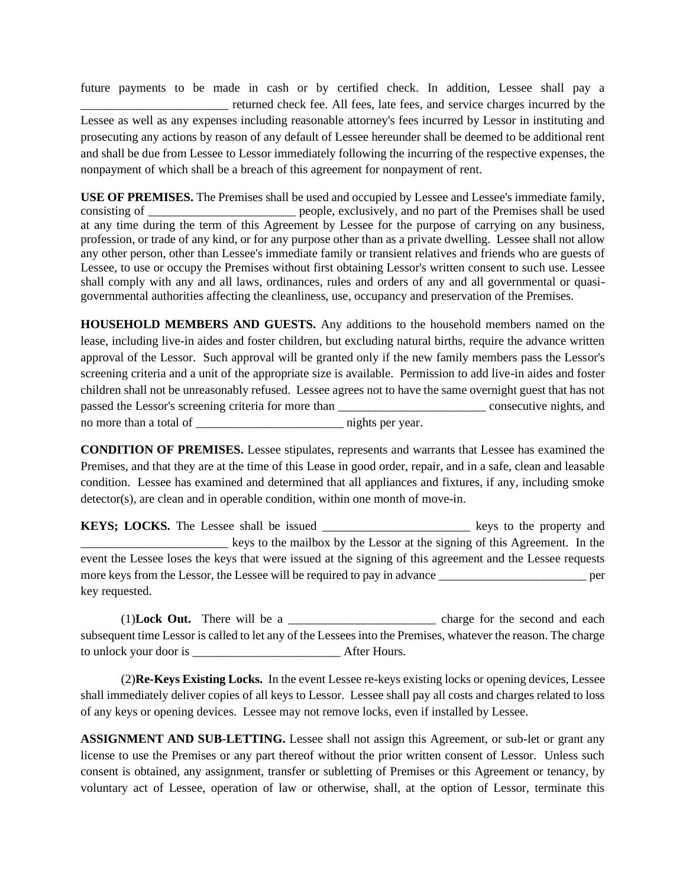future payments to be made in cash or by certified check. In addition, Lessee shall pay a **Example 2.1** returned check fee. All fees, late fees, and service charges incurred by the Lessee as well as any expenses including reasonable attorney's fees incurred by Lessor in instituting and prosecuting any actions by reason of any default of Lessee hereunder shall be deemed to be additional rent and shall be due from Lessee to Lessor immediately following the incurring of the respective expenses, the nonpayment of which shall be a breach of this agreement for nonpayment of rent.

**USE OF PREMISES.** The Premises shall be used and occupied by Lessee and Lessee's immediate family, consisting of  $\qquad \qquad \text{people, exclusively, and no part of the Premises shall be used}$ at any time during the term of this Agreement by Lessee for the purpose of carrying on any business, profession, or trade of any kind, or for any purpose other than as a private dwelling. Lessee shall not allow any other person, other than Lessee's immediate family or transient relatives and friends who are guests of Lessee, to use or occupy the Premises without first obtaining Lessor's written consent to such use. Lessee shall comply with any and all laws, ordinances, rules and orders of any and all governmental or quasigovernmental authorities affecting the cleanliness, use, occupancy and preservation of the Premises.

**HOUSEHOLD MEMBERS AND GUESTS.** Any additions to the household members named on the lease, including live-in aides and foster children, but excluding natural births, require the advance written approval of the Lessor. Such approval will be granted only if the new family members pass the Lessor's screening criteria and a unit of the appropriate size is available. Permission to add live-in aides and foster children shall not be unreasonably refused. Lessee agrees not to have the same overnight guest that has not passed the Lessor's screening criteria for more than \_\_\_\_\_\_\_\_\_\_\_\_\_\_\_\_\_\_\_\_\_\_\_\_ consecutive nights, and no more than a total of \_\_\_\_\_\_\_\_\_\_\_\_\_\_\_\_\_\_\_\_\_\_\_\_ nights per year.

**CONDITION OF PREMISES.** Lessee stipulates, represents and warrants that Lessee has examined the Premises, and that they are at the time of this Lease in good order, repair, and in a safe, clean and leasable condition. Lessee has examined and determined that all appliances and fixtures, if any, including smoke detector(s), are clean and in operable condition, within one month of move-in.

**KEYS; LOCKS.** The Lessee shall be issued \_\_\_\_\_\_\_\_\_\_\_\_\_\_\_\_\_\_\_\_\_\_\_\_\_ keys to the property and \_\_\_\_\_\_\_\_\_\_\_\_\_\_\_\_\_\_\_\_\_\_\_\_ keys to the mailbox by the Lessor at the signing of this Agreement. In the event the Lessee loses the keys that were issued at the signing of this agreement and the Lessee requests more keys from the Lessor, the Lessee will be required to pay in advance \_\_\_\_\_\_\_\_\_\_\_\_\_\_\_\_\_\_\_\_\_\_\_\_ per key requested.

(1)**Lock Out.** There will be a \_\_\_\_\_\_\_\_\_\_\_\_\_\_\_\_\_\_\_\_\_\_\_\_\_\_\_ charge for the second and each subsequent time Lessor is called to let any of the Lessees into the Premises, whatever the reason. The charge to unlock your door is \_\_\_\_\_\_\_\_\_\_\_\_\_\_\_\_\_\_\_\_\_\_\_\_ After Hours.

(2)**Re-Keys Existing Locks.** In the event Lessee re-keys existing locks or opening devices, Lessee shall immediately deliver copies of all keys to Lessor. Lessee shall pay all costs and charges related to loss of any keys or opening devices. Lessee may not remove locks, even if installed by Lessee.

**ASSIGNMENT AND SUB-LETTING.** Lessee shall not assign this Agreement, or sub-let or grant any license to use the Premises or any part thereof without the prior written consent of Lessor. Unless such consent is obtained, any assignment, transfer or subletting of Premises or this Agreement or tenancy, by voluntary act of Lessee, operation of law or otherwise, shall, at the option of Lessor, terminate this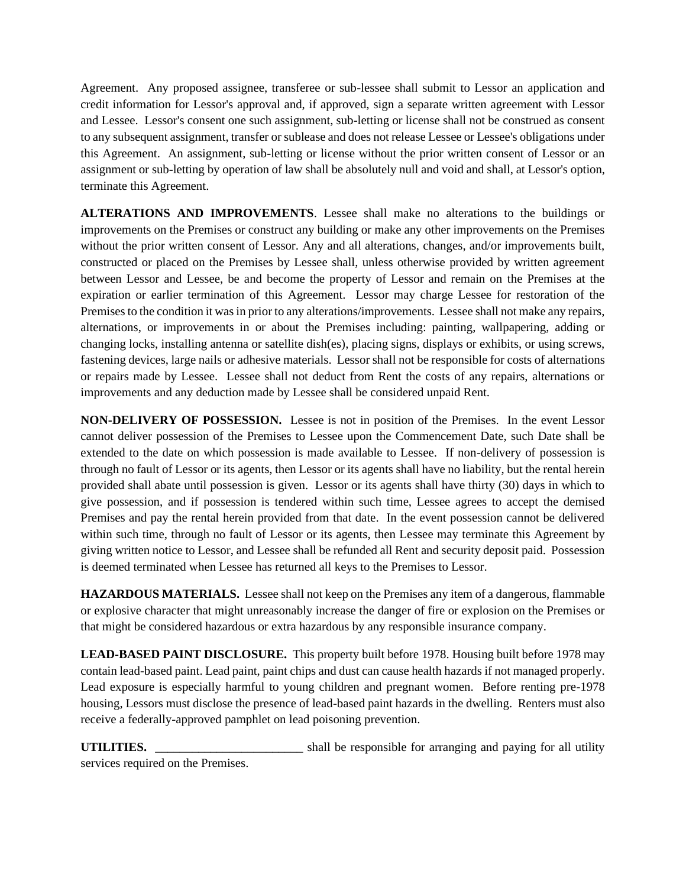Agreement. Any proposed assignee, transferee or sub-lessee shall submit to Lessor an application and credit information for Lessor's approval and, if approved, sign a separate written agreement with Lessor and Lessee. Lessor's consent one such assignment, sub-letting or license shall not be construed as consent to any subsequent assignment, transfer or sublease and does not release Lessee or Lessee's obligations under this Agreement. An assignment, sub-letting or license without the prior written consent of Lessor or an assignment or sub-letting by operation of law shall be absolutely null and void and shall, at Lessor's option, terminate this Agreement.

**ALTERATIONS AND IMPROVEMENTS**. Lessee shall make no alterations to the buildings or improvements on the Premises or construct any building or make any other improvements on the Premises without the prior written consent of Lessor. Any and all alterations, changes, and/or improvements built, constructed or placed on the Premises by Lessee shall, unless otherwise provided by written agreement between Lessor and Lessee, be and become the property of Lessor and remain on the Premises at the expiration or earlier termination of this Agreement. Lessor may charge Lessee for restoration of the Premises to the condition it was in prior to any alterations/improvements. Lessee shall not make any repairs, alternations, or improvements in or about the Premises including: painting, wallpapering, adding or changing locks, installing antenna or satellite dish(es), placing signs, displays or exhibits, or using screws, fastening devices, large nails or adhesive materials. Lessor shall not be responsible for costs of alternations or repairs made by Lessee. Lessee shall not deduct from Rent the costs of any repairs, alternations or improvements and any deduction made by Lessee shall be considered unpaid Rent.

**NON-DELIVERY OF POSSESSION.** Lessee is not in position of the Premises. In the event Lessor cannot deliver possession of the Premises to Lessee upon the Commencement Date, such Date shall be extended to the date on which possession is made available to Lessee. If non-delivery of possession is through no fault of Lessor or its agents, then Lessor or its agents shall have no liability, but the rental herein provided shall abate until possession is given. Lessor or its agents shall have thirty (30) days in which to give possession, and if possession is tendered within such time, Lessee agrees to accept the demised Premises and pay the rental herein provided from that date. In the event possession cannot be delivered within such time, through no fault of Lessor or its agents, then Lessee may terminate this Agreement by giving written notice to Lessor, and Lessee shall be refunded all Rent and security deposit paid. Possession is deemed terminated when Lessee has returned all keys to the Premises to Lessor.

**HAZARDOUS MATERIALS.** Lessee shall not keep on the Premises any item of a dangerous, flammable or explosive character that might unreasonably increase the danger of fire or explosion on the Premises or that might be considered hazardous or extra hazardous by any responsible insurance company.

**LEAD-BASED PAINT DISCLOSURE.** This property built before 1978. Housing built before 1978 may contain lead-based paint. Lead paint, paint chips and dust can cause health hazards if not managed properly. Lead exposure is especially harmful to young children and pregnant women. Before renting pre-1978 housing, Lessors must disclose the presence of lead-based paint hazards in the dwelling. Renters must also receive a federally-approved pamphlet on lead poisoning prevention.

**UTILITIES.** THE SET SHALL SHALL BE RESPONSIBLE FOR A PAYING A PAYING STATES. services required on the Premises.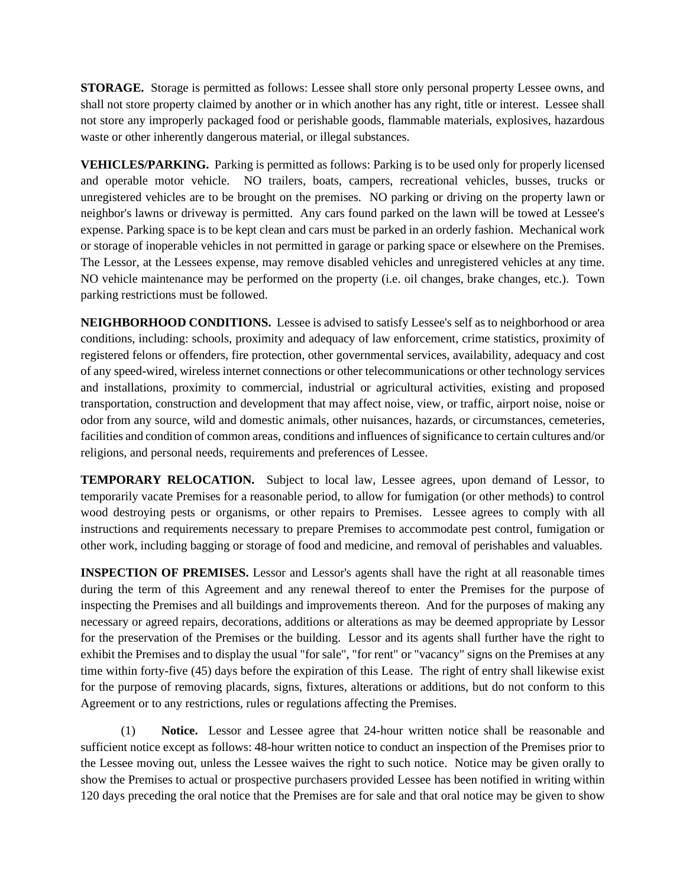**STORAGE.** Storage is permitted as follows: Lessee shall store only personal property Lessee owns, and shall not store property claimed by another or in which another has any right, title or interest. Lessee shall not store any improperly packaged food or perishable goods, flammable materials, explosives, hazardous waste or other inherently dangerous material, or illegal substances.

**VEHICLES/PARKING.** Parking is permitted as follows: Parking is to be used only for properly licensed and operable motor vehicle. NO trailers, boats, campers, recreational vehicles, busses, trucks or unregistered vehicles are to be brought on the premises. NO parking or driving on the property lawn or neighbor's lawns or driveway is permitted. Any cars found parked on the lawn will be towed at Lessee's expense. Parking space is to be kept clean and cars must be parked in an orderly fashion. Mechanical work or storage of inoperable vehicles in not permitted in garage or parking space or elsewhere on the Premises. The Lessor, at the Lessees expense, may remove disabled vehicles and unregistered vehicles at any time. NO vehicle maintenance may be performed on the property (i.e. oil changes, brake changes, etc.). Town parking restrictions must be followed.

**NEIGHBORHOOD CONDITIONS.** Lessee is advised to satisfy Lessee's self as to neighborhood or area conditions, including: schools, proximity and adequacy of law enforcement, crime statistics, proximity of registered felons or offenders, fire protection, other governmental services, availability, adequacy and cost of any speed-wired, wireless internet connections or other telecommunications or other technology services and installations, proximity to commercial, industrial or agricultural activities, existing and proposed transportation, construction and development that may affect noise, view, or traffic, airport noise, noise or odor from any source, wild and domestic animals, other nuisances, hazards, or circumstances, cemeteries, facilities and condition of common areas, conditions and influences of significance to certain cultures and/or religions, and personal needs, requirements and preferences of Lessee.

**TEMPORARY RELOCATION.** Subject to local law, Lessee agrees, upon demand of Lessor, to temporarily vacate Premises for a reasonable period, to allow for fumigation (or other methods) to control wood destroying pests or organisms, or other repairs to Premises. Lessee agrees to comply with all instructions and requirements necessary to prepare Premises to accommodate pest control, fumigation or other work, including bagging or storage of food and medicine, and removal of perishables and valuables.

**INSPECTION OF PREMISES.** Lessor and Lessor's agents shall have the right at all reasonable times during the term of this Agreement and any renewal thereof to enter the Premises for the purpose of inspecting the Premises and all buildings and improvements thereon. And for the purposes of making any necessary or agreed repairs, decorations, additions or alterations as may be deemed appropriate by Lessor for the preservation of the Premises or the building. Lessor and its agents shall further have the right to exhibit the Premises and to display the usual "for sale", "for rent" or "vacancy" signs on the Premises at any time within forty-five (45) days before the expiration of this Lease. The right of entry shall likewise exist for the purpose of removing placards, signs, fixtures, alterations or additions, but do not conform to this Agreement or to any restrictions, rules or regulations affecting the Premises.

(1) **Notice.** Lessor and Lessee agree that 24-hour written notice shall be reasonable and sufficient notice except as follows: 48-hour written notice to conduct an inspection of the Premises prior to the Lessee moving out, unless the Lessee waives the right to such notice. Notice may be given orally to show the Premises to actual or prospective purchasers provided Lessee has been notified in writing within 120 days preceding the oral notice that the Premises are for sale and that oral notice may be given to show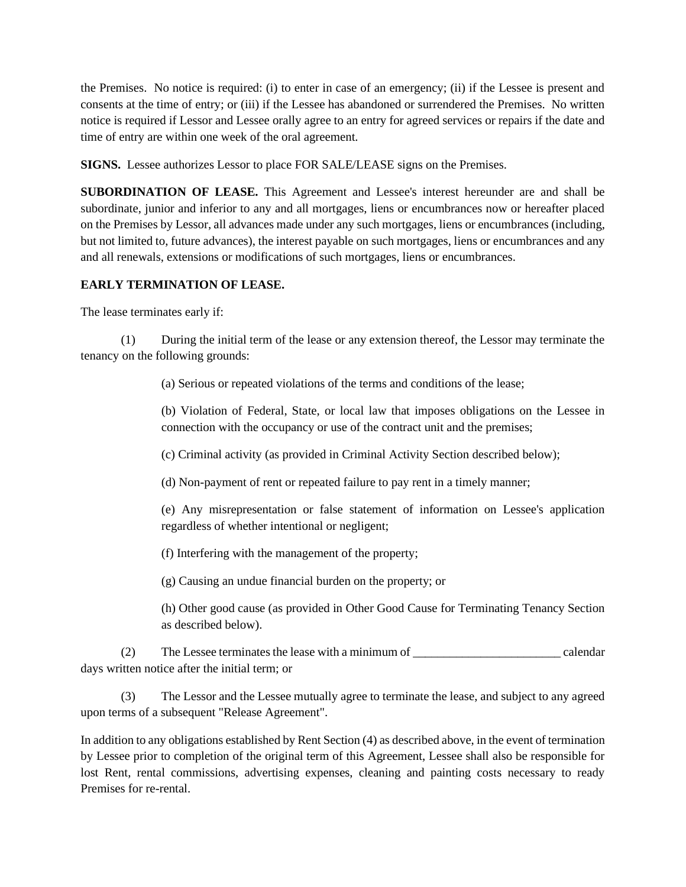the Premises. No notice is required: (i) to enter in case of an emergency; (ii) if the Lessee is present and consents at the time of entry; or (iii) if the Lessee has abandoned or surrendered the Premises. No written notice is required if Lessor and Lessee orally agree to an entry for agreed services or repairs if the date and time of entry are within one week of the oral agreement.

**SIGNS.** Lessee authorizes Lessor to place FOR SALE/LEASE signs on the Premises.

**SUBORDINATION OF LEASE.** This Agreement and Lessee's interest hereunder are and shall be subordinate, junior and inferior to any and all mortgages, liens or encumbrances now or hereafter placed on the Premises by Lessor, all advances made under any such mortgages, liens or encumbrances (including, but not limited to, future advances), the interest payable on such mortgages, liens or encumbrances and any and all renewals, extensions or modifications of such mortgages, liens or encumbrances.

## **EARLY TERMINATION OF LEASE.**

The lease terminates early if:

(1) During the initial term of the lease or any extension thereof, the Lessor may terminate the tenancy on the following grounds:

(a) Serious or repeated violations of the terms and conditions of the lease;

(b) Violation of Federal, State, or local law that imposes obligations on the Lessee in connection with the occupancy or use of the contract unit and the premises;

(c) Criminal activity (as provided in Criminal Activity Section described below);

(d) Non-payment of rent or repeated failure to pay rent in a timely manner;

(e) Any misrepresentation or false statement of information on Lessee's application regardless of whether intentional or negligent;

(f) Interfering with the management of the property;

(g) Causing an undue financial burden on the property; or

(h) Other good cause (as provided in Other Good Cause for Terminating Tenancy Section as described below).

(2) The Lessee terminates the lease with a minimum of \_\_\_\_\_\_\_\_\_\_\_\_\_\_\_\_\_\_\_\_\_\_\_\_\_\_ calendar days written notice after the initial term; or

(3) The Lessor and the Lessee mutually agree to terminate the lease, and subject to any agreed upon terms of a subsequent "Release Agreement".

In addition to any obligations established by Rent Section (4) as described above, in the event of termination by Lessee prior to completion of the original term of this Agreement, Lessee shall also be responsible for lost Rent, rental commissions, advertising expenses, cleaning and painting costs necessary to ready Premises for re-rental.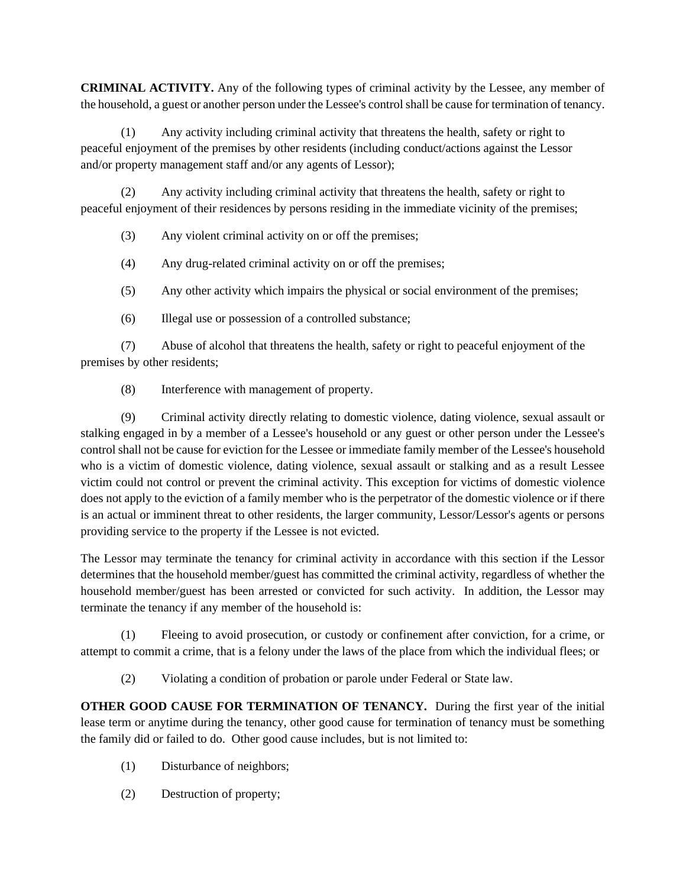**CRIMINAL ACTIVITY.** Any of the following types of criminal activity by the Lessee, any member of the household, a guest or another person under the Lessee's control shall be cause for termination of tenancy.

(1) Any activity including criminal activity that threatens the health, safety or right to peaceful enjoyment of the premises by other residents (including conduct/actions against the Lessor and/or property management staff and/or any agents of Lessor);

(2) Any activity including criminal activity that threatens the health, safety or right to peaceful enjoyment of their residences by persons residing in the immediate vicinity of the premises;

(3) Any violent criminal activity on or off the premises;

(4) Any drug-related criminal activity on or off the premises;

(5) Any other activity which impairs the physical or social environment of the premises;

(6) Illegal use or possession of a controlled substance;

(7) Abuse of alcohol that threatens the health, safety or right to peaceful enjoyment of the premises by other residents;

(8) Interference with management of property.

(9) Criminal activity directly relating to domestic violence, dating violence, sexual assault or stalking engaged in by a member of a Lessee's household or any guest or other person under the Lessee's control shall not be cause for eviction for the Lessee or immediate family member of the Lessee's household who is a victim of domestic violence, dating violence, sexual assault or stalking and as a result Lessee victim could not control or prevent the criminal activity. This exception for victims of domestic violence does not apply to the eviction of a family member who is the perpetrator of the domestic violence or if there is an actual or imminent threat to other residents, the larger community, Lessor/Lessor's agents or persons providing service to the property if the Lessee is not evicted.

The Lessor may terminate the tenancy for criminal activity in accordance with this section if the Lessor determines that the household member/guest has committed the criminal activity, regardless of whether the household member/guest has been arrested or convicted for such activity. In addition, the Lessor may terminate the tenancy if any member of the household is:

(1) Fleeing to avoid prosecution, or custody or confinement after conviction, for a crime, or attempt to commit a crime, that is a felony under the laws of the place from which the individual flees; or

(2) Violating a condition of probation or parole under Federal or State law.

**OTHER GOOD CAUSE FOR TERMINATION OF TENANCY.** During the first year of the initial lease term or anytime during the tenancy, other good cause for termination of tenancy must be something the family did or failed to do. Other good cause includes, but is not limited to:

- (1) Disturbance of neighbors;
- (2) Destruction of property;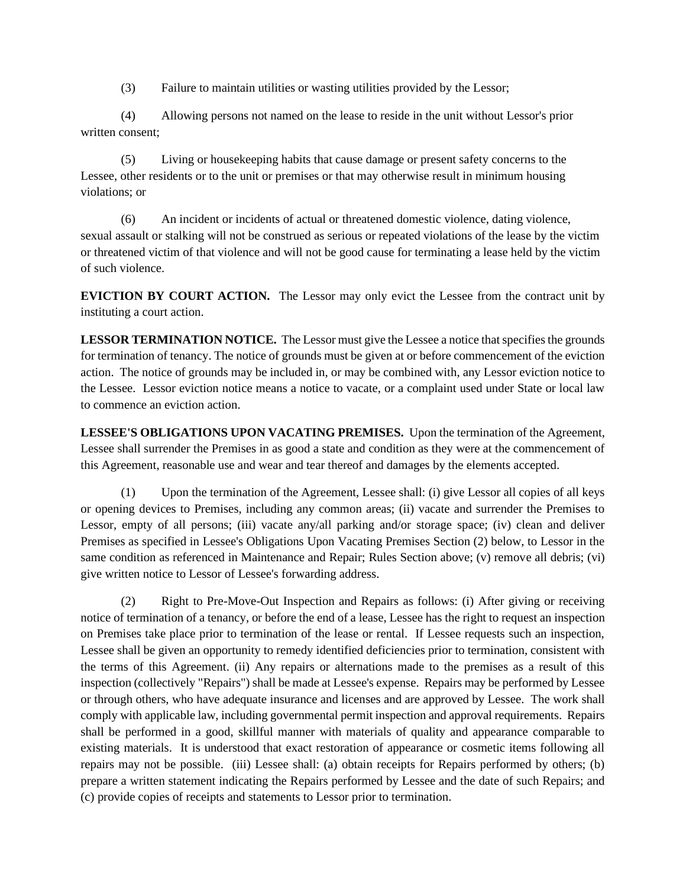(3) Failure to maintain utilities or wasting utilities provided by the Lessor;

(4) Allowing persons not named on the lease to reside in the unit without Lessor's prior written consent;

(5) Living or housekeeping habits that cause damage or present safety concerns to the Lessee, other residents or to the unit or premises or that may otherwise result in minimum housing violations; or

(6) An incident or incidents of actual or threatened domestic violence, dating violence, sexual assault or stalking will not be construed as serious or repeated violations of the lease by the victim or threatened victim of that violence and will not be good cause for terminating a lease held by the victim of such violence.

**EVICTION BY COURT ACTION.** The Lessor may only evict the Lessee from the contract unit by instituting a court action.

**LESSOR TERMINATION NOTICE.** The Lessor must give the Lessee a notice that specifies the grounds for termination of tenancy. The notice of grounds must be given at or before commencement of the eviction action. The notice of grounds may be included in, or may be combined with, any Lessor eviction notice to the Lessee. Lessor eviction notice means a notice to vacate, or a complaint used under State or local law to commence an eviction action.

**LESSEE'S OBLIGATIONS UPON VACATING PREMISES.** Upon the termination of the Agreement, Lessee shall surrender the Premises in as good a state and condition as they were at the commencement of this Agreement, reasonable use and wear and tear thereof and damages by the elements accepted.

(1) Upon the termination of the Agreement, Lessee shall: (i) give Lessor all copies of all keys or opening devices to Premises, including any common areas; (ii) vacate and surrender the Premises to Lessor, empty of all persons; (iii) vacate any/all parking and/or storage space; (iv) clean and deliver Premises as specified in Lessee's Obligations Upon Vacating Premises Section (2) below, to Lessor in the same condition as referenced in Maintenance and Repair; Rules Section above; (v) remove all debris; (vi) give written notice to Lessor of Lessee's forwarding address.

(2) Right to Pre-Move-Out Inspection and Repairs as follows: (i) After giving or receiving notice of termination of a tenancy, or before the end of a lease, Lessee has the right to request an inspection on Premises take place prior to termination of the lease or rental. If Lessee requests such an inspection, Lessee shall be given an opportunity to remedy identified deficiencies prior to termination, consistent with the terms of this Agreement. (ii) Any repairs or alternations made to the premises as a result of this inspection (collectively "Repairs") shall be made at Lessee's expense. Repairs may be performed by Lessee or through others, who have adequate insurance and licenses and are approved by Lessee. The work shall comply with applicable law, including governmental permit inspection and approval requirements. Repairs shall be performed in a good, skillful manner with materials of quality and appearance comparable to existing materials. It is understood that exact restoration of appearance or cosmetic items following all repairs may not be possible. (iii) Lessee shall: (a) obtain receipts for Repairs performed by others; (b) prepare a written statement indicating the Repairs performed by Lessee and the date of such Repairs; and (c) provide copies of receipts and statements to Lessor prior to termination.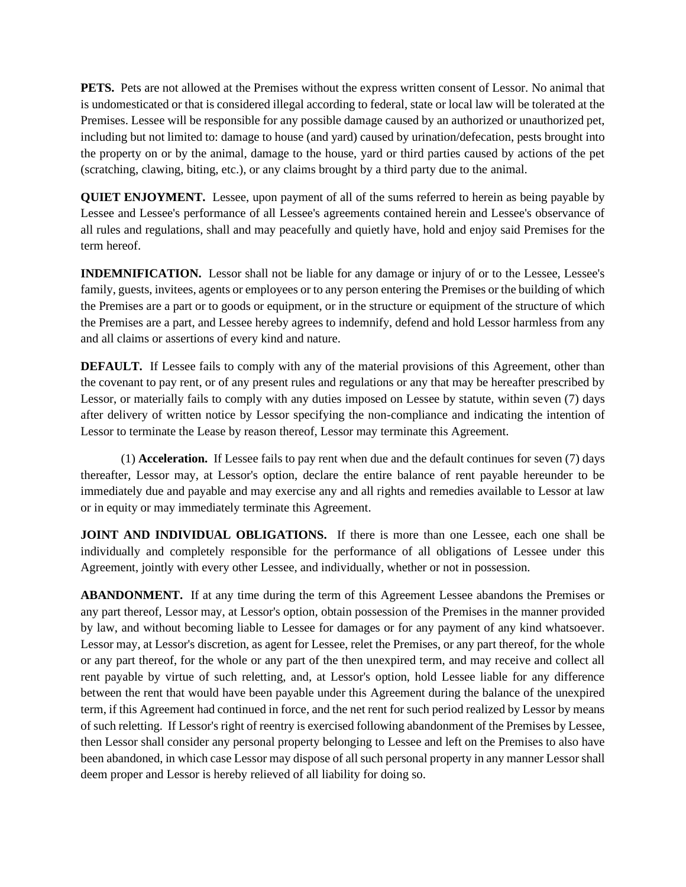**PETS.** Pets are not allowed at the Premises without the express written consent of Lessor. No animal that is undomesticated or that is considered illegal according to federal, state or local law will be tolerated at the Premises. Lessee will be responsible for any possible damage caused by an authorized or unauthorized pet, including but not limited to: damage to house (and yard) caused by urination/defecation, pests brought into the property on or by the animal, damage to the house, yard or third parties caused by actions of the pet (scratching, clawing, biting, etc.), or any claims brought by a third party due to the animal.

**QUIET ENJOYMENT.** Lessee, upon payment of all of the sums referred to herein as being payable by Lessee and Lessee's performance of all Lessee's agreements contained herein and Lessee's observance of all rules and regulations, shall and may peacefully and quietly have, hold and enjoy said Premises for the term hereof.

**INDEMNIFICATION.** Lessor shall not be liable for any damage or injury of or to the Lessee, Lessee's family, guests, invitees, agents or employees or to any person entering the Premises or the building of which the Premises are a part or to goods or equipment, or in the structure or equipment of the structure of which the Premises are a part, and Lessee hereby agrees to indemnify, defend and hold Lessor harmless from any and all claims or assertions of every kind and nature.

**DEFAULT.** If Lessee fails to comply with any of the material provisions of this Agreement, other than the covenant to pay rent, or of any present rules and regulations or any that may be hereafter prescribed by Lessor, or materially fails to comply with any duties imposed on Lessee by statute, within seven (7) days after delivery of written notice by Lessor specifying the non-compliance and indicating the intention of Lessor to terminate the Lease by reason thereof, Lessor may terminate this Agreement.

(1) **Acceleration.** If Lessee fails to pay rent when due and the default continues for seven (7) days thereafter, Lessor may, at Lessor's option, declare the entire balance of rent payable hereunder to be immediately due and payable and may exercise any and all rights and remedies available to Lessor at law or in equity or may immediately terminate this Agreement.

**JOINT AND INDIVIDUAL OBLIGATIONS.** If there is more than one Lessee, each one shall be individually and completely responsible for the performance of all obligations of Lessee under this Agreement, jointly with every other Lessee, and individually, whether or not in possession.

**ABANDONMENT.** If at any time during the term of this Agreement Lessee abandons the Premises or any part thereof, Lessor may, at Lessor's option, obtain possession of the Premises in the manner provided by law, and without becoming liable to Lessee for damages or for any payment of any kind whatsoever. Lessor may, at Lessor's discretion, as agent for Lessee, relet the Premises, or any part thereof, for the whole or any part thereof, for the whole or any part of the then unexpired term, and may receive and collect all rent payable by virtue of such reletting, and, at Lessor's option, hold Lessee liable for any difference between the rent that would have been payable under this Agreement during the balance of the unexpired term, if this Agreement had continued in force, and the net rent for such period realized by Lessor by means of such reletting. If Lessor's right of reentry is exercised following abandonment of the Premises by Lessee, then Lessor shall consider any personal property belonging to Lessee and left on the Premises to also have been abandoned, in which case Lessor may dispose of all such personal property in any manner Lessor shall deem proper and Lessor is hereby relieved of all liability for doing so.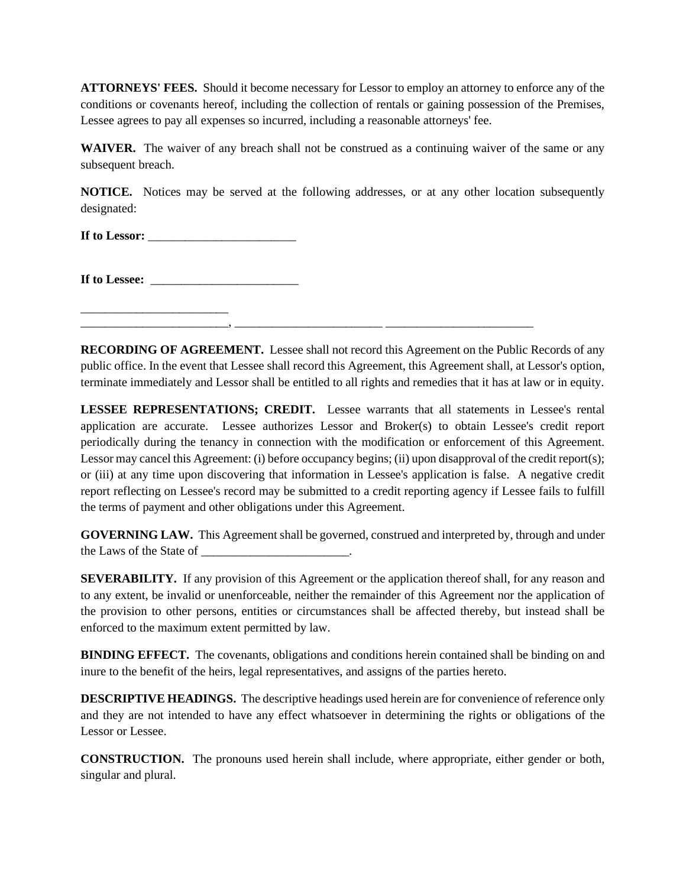**ATTORNEYS' FEES.** Should it become necessary for Lessor to employ an attorney to enforce any of the conditions or covenants hereof, including the collection of rentals or gaining possession of the Premises, Lessee agrees to pay all expenses so incurred, including a reasonable attorneys' fee.

WAIVER. The waiver of any breach shall not be construed as a continuing waiver of the same or any subsequent breach.

**NOTICE.** Notices may be served at the following addresses, or at any other location subsequently designated:

**If to Lessor:** \_\_\_\_\_\_\_\_\_\_\_\_\_\_\_\_\_\_\_\_\_\_\_\_

**If to Lessee:** \_\_\_\_\_\_\_\_\_\_\_\_\_\_\_\_\_\_\_\_\_\_\_\_

\_\_\_\_\_\_\_\_\_\_\_\_\_\_\_\_\_\_\_\_\_\_\_\_

**RECORDING OF AGREEMENT.** Lessee shall not record this Agreement on the Public Records of any public office. In the event that Lessee shall record this Agreement, this Agreement shall, at Lessor's option, terminate immediately and Lessor shall be entitled to all rights and remedies that it has at law or in equity.

\_\_\_\_\_\_\_\_\_\_\_\_\_\_\_\_\_\_\_\_\_\_\_\_, \_\_\_\_\_\_\_\_\_\_\_\_\_\_\_\_\_\_\_\_\_\_\_\_ \_\_\_\_\_\_\_\_\_\_\_\_\_\_\_\_\_\_\_\_\_\_\_\_

**LESSEE REPRESENTATIONS; CREDIT.** Lessee warrants that all statements in Lessee's rental application are accurate. Lessee authorizes Lessor and Broker(s) to obtain Lessee's credit report periodically during the tenancy in connection with the modification or enforcement of this Agreement. Lessor may cancel this Agreement: (i) before occupancy begins; (ii) upon disapproval of the credit report(s); or (iii) at any time upon discovering that information in Lessee's application is false. A negative credit report reflecting on Lessee's record may be submitted to a credit reporting agency if Lessee fails to fulfill the terms of payment and other obligations under this Agreement.

**GOVERNING LAW.** This Agreement shall be governed, construed and interpreted by, through and under the Laws of the State of  $\cdot$ 

**SEVERABILITY.** If any provision of this Agreement or the application thereof shall, for any reason and to any extent, be invalid or unenforceable, neither the remainder of this Agreement nor the application of the provision to other persons, entities or circumstances shall be affected thereby, but instead shall be enforced to the maximum extent permitted by law.

**BINDING EFFECT.** The covenants, obligations and conditions herein contained shall be binding on and inure to the benefit of the heirs, legal representatives, and assigns of the parties hereto.

**DESCRIPTIVE HEADINGS.** The descriptive headings used herein are for convenience of reference only and they are not intended to have any effect whatsoever in determining the rights or obligations of the Lessor or Lessee.

**CONSTRUCTION.** The pronouns used herein shall include, where appropriate, either gender or both, singular and plural.